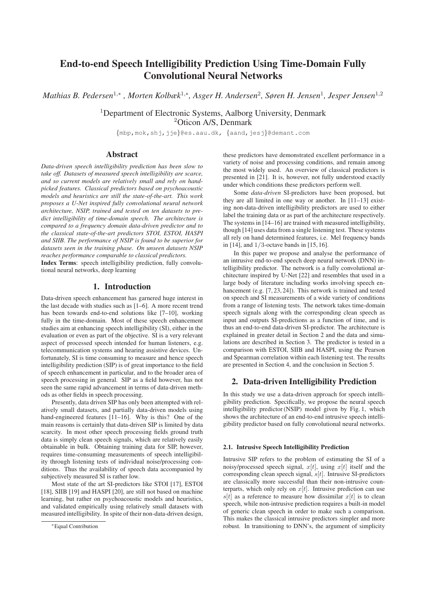# End-to-end Speech Intelligibility Prediction Using Time-Domain Fully Convolutional Neural Networks

*Mathias B. Pedersen*<sup>1</sup>,<sup>∗</sup> *, Morten Kolbæk*<sup>1</sup>,∗*, Asger H. Andersen*<sup>2</sup>*, Søren H. Jensen*<sup>1</sup>*, Jesper Jensen*<sup>1</sup>,<sup>2</sup>

<sup>1</sup>Department of Electronic Systems, Aalborg University, Denmark <sup>2</sup>Oticon A/S, Denmark

{mbp,mok,shj,jje}@es.aau.dk, {aand,jesj}@demant.com

# Abstract

*Data-driven speech intelligibility prediction has been slow to take off. Datasets of measured speech intelligibility are scarce, and so current models are relatively small and rely on handpicked features. Classical predictors based on psychoacoustic models and heuristics are still the state-of-the-art. This work proposes a U-Net inspired fully convolutional neural network architecture, NSIP, trained and tested on ten datasets to predict intelligibility of time-domain speech. The architecture is compared to a frequency domain data-driven predictor and to the classical state-of-the-art predictors STOI, ESTOI, HASPI and SIIB. The performance of NSIP is found to be superior for datasets seen in the training phase. On unseen datasets NSIP reaches performance comparable to classical predictors.*

Index Terms: speech intelligibility prediction, fully convolutional neural networks, deep learning

# 1. Introduction

Data-driven speech enhancement has garnered huge interest in the last decade with studies such as [1–6]. A more recent trend has been towards end-to-end solutions like [7–10], working fully in the time-domain. Most of these speech enhancement studies aim at enhancing speech intelligibility (SI), either in the evaluation or even as part of the objective. SI is a very relevant aspect of processed speech intended for human listeners, e.g. telecommunication systems and hearing assistive devices. Unfortunately, SI is time consuming to measure and hence speech intelligibility prediction (SIP) is of great importance to the field of speech enhancement in particular, and to the broader area of speech processing in general. SIP as a field however, has not seen the same rapid advancement in terms of data-driven methods as other fields in speech processing.

Presently, data driven SIP has only been attempted with relatively small datasets, and partially data-driven models using hand-engineered features [11-16]. Why is this? One of the main reasons is certainly that data-driven SIP is limited by data scarcity. In most other speech processing fields ground truth data is simply clean speech signals, which are relatively easily obtainable in bulk. Obtaining training data for SIP, however, requires time-consuming measurements of speech intelligibility through listening tests of individual noise/processing conditions. Thus the availability of speech data accompanied by subjectively measured SI is rather low.

Most state of the art SI-predictors like STOI [17], ESTOI [18], SIIB [19] and HASPI [20], are still not based on machine learning, but rather on psychoacoustic models and heuristics, and validated empirically using relatively small datasets with measured intelligibility. In spite of their non-data-driven design, these predictors have demonstrated excellent performance in a variety of noise and processing conditions, and remain among the most widely used. An overview of classical predictors is presented in [21]. It is, however, not fully understood exactly under which conditions these predictors perform well.

Some *data-driven* SI-predictors have been proposed, but they are all limited in one way or another. In [11–13] existing non-data-driven intelligibility predictors are used to either label the training data or as part of the architecture respectively. The systems in [14–16] are trained with measured intelligibility, though [14] uses data from a single listening test. These systems all rely on hand determined features, i.e. Mel frequency bands in [14], and 1/3-octave bands in [15, 16].

In this paper we propose and analyse the performance of an intrusive end-to-end speech deep neural network (DNN) intelligibility predictor. The network is a fully convolutional architecture inspired by U-Net [22] and resembles that used in a large body of literature including works involving speech enhancement (e.g. [7, 23, 24]). This network is trained and tested on speech and SI measurements of a wide variety of conditions from a range of listening tests. The network takes time-domain speech signals along with the corresponding clean speech as input and outputs SI-predictions as a function of time, and is thus an end-to-end data-driven SI-predictor. The architecture is explained in greater detail in Section 2 and the data and simulations are described in Section 3. The predictor is tested in a comparison with ESTOI, SIIB and HASPI, using the Pearson and Spearman correlation within each listening test. The results are presented in Section 4, and the conclusion in Section 5.

# 2. Data-driven Intelligibility Prediction

In this study we use a data-driven approach for speech intelligibility prediction. Specifically, we propose the neural speech intelligibility predictor (NSIP) model given by Fig. 1, which shows the architecture of an end-to-end intrusive speech intelligibility predictor based on fully convolutional neural networks.

## 2.1. Intrusive Speech Intelligibility Prediction

Intrusive SIP refers to the problem of estimating the SI of a noisy/processed speech signal,  $x[t]$ , using  $x[t]$  itself and the corresponding clean speech signal,  $s[t]$ . Intrusive SI-predictors are classically more successful than their non-intrusive counterparts, which only rely on  $x[t]$ . Intrusive prediction can use  $s[t]$  as a reference to measure how dissimilar  $x[t]$  is to clean speech, while non-intrusive prediction requires a built-in model of generic clean speech in order to make such a comparison. This makes the classical intrusive predictors simpler and more robust. In transitioning to DNN's, the argument of simplicity

<sup>∗</sup>Equal Contribution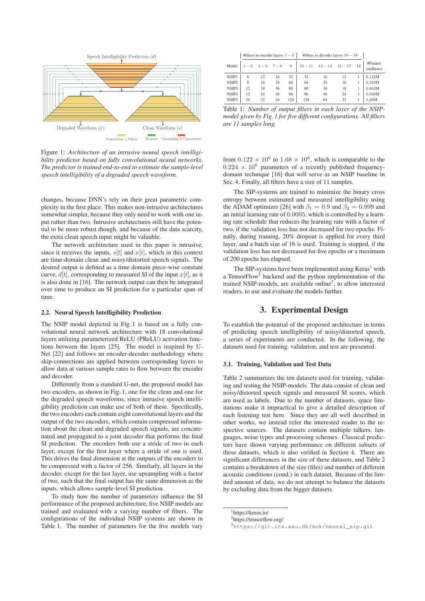

Figure 1: *Architecture of an intrusive neural speech intelligibility predictor based on fully convolutional neural networks. The predictor is trained end-to-end to estimate the sample-level speech intelligibility of a degraded speech waveform.*

changes, because DNN's rely on their great parametric complexity in the first place. This makes non-intrusive architectures somewhat simpler, because they only need to work with one input rather than two. Intrusive architectures still have the potential to be more robust though, and because of the data scarcity, the extra clean speech input might be valuable.

The network architecture used in this paper is intrusive, since it receives the inputs,  $s[t]$  and  $x[t]$ , which in this context are time-domain clean and noisy/distorted speech signals. The desired output is defined as a time domain piece-wise constant curve,  $d[t]$ , corresponding to measured SI of the input  $x[t]$ , as it is also done in [16]. The network output can then be integrated over time to produce an SI prediction for a particular span of time.

### 2.2. Neural Speech Intelligibility Prediction

The NSIP model depicted in Fig. 1 is based on a fully convolutional neural network architecture with 18 convolutional layers utilizing parameterized ReLU (PReLU) activation functions between the layers [25]. The model is inspired by U-Net [22] and follows an encoder-decoder methodology where skip-connections are applied between corresponding layers to allow data at various sample rates to flow between the encoder and decoder.

Differently from a standard U-net, the proposed model has two encoders, as shown in Fig. 1, one for the clean and one for the degraded speech waveforms, since intrusive speech intelligibility prediction can make use of both of these. Specifically, the two encoders each contain eight convolutional layers and the output of the two encoders, which contain compressed information about the clean and degraded speech signals, are concatenated and propagated to a joint decoder that performs the final SI prediction. The encoders both use a stride of two in each layer, except for the first layer where a stride of one is used. This drives the final dimension at the outputs of the encoders to be compressed with a factor of 256. Similarly, all layers in the decoder, except for the last layer, use upsampling with a factor of two, such that the final output has the same dimension as the inputs, which allows sample-level SI prediction.

To study how the number of parameters influence the SI performance of the proposed architecture, five NSIP models are trained and evaluated with a varying number of filters. The configurations of the individual NSIP systems are shown in Table 1. The number of parameters for the five models vary

 $\pm$ #filters in encoder layers 1 − 9  $\pm$  #filters in decoder layers 10 − 18  $\pm$ 

| Model |    | $1-3$ $4-6$ $7-8$ |    | 9   |     | $10 - 11$ $12 - 14$ $15 - 17$ 18 |    |  | #Params<br>(millions) |  |  |
|-------|----|-------------------|----|-----|-----|----------------------------------|----|--|-----------------------|--|--|
| NSIP1 | 6  | 12                | 16 | 32  | 32  | 16                               | 12 |  | 0.122M                |  |  |
| NSIP2 | 8  | 16                | 24 | 64  | 64  | 24                               | 16 |  | 0.349M                |  |  |
| NSIP3 | 12 | 18                | 36 | 80  | 80  | 36                               | 18 |  | 0.603M                |  |  |
| NSIP4 | 12 | 24                | 48 | 96  | 96  | 48                               | 24 |  | 0.946M                |  |  |
| NSIP5 | 16 | 32                | 64 | 128 | 128 | 64                               | 32 |  | 1.68M                 |  |  |

Table 1: *Number of output filters in each layer of the NSIPmodel given by Fig. 1 for five different configurations. All filters are 11 samples long.*

from  $0.122 \times 10^6$  to  $1.68 \times 10^6$ , which is comparable to the  $0.224 \times 10^6$  parameters of a recently published frequencydomain technique [16] that will serve as an NSIP baseline in Sec. 4. Finally, all filters have a size of 11 samples.

The SIP-systems are trained to minimize the binary cross entropy between estimated and measured intelligibility using the ADAM optimizer [26] with  $\beta_1 = 0.9$  and  $\beta_2 = 0.999$  and an initial learning rate of 0.0005, which is controlled by a learning rate schedule that reduces the learning rate with a factor of two, if the validation loss has not decreased for two epochs. Finally, during training, 20% dropout is applied for every third layer, and a batch size of 16 is used. Training is stopped, if the validation loss has not decreased for five epochs or a maximum of 200 epochs has elapsed.

The SIP-systems have been implemented using  $Keras<sup>1</sup>$  with a TensorFlow<sup>2</sup> backend and the python implementation of the trained NSIP-models, are available online<sup>3</sup>, to allow interested readers, to use and evaluate the models further.

# 3. Experimental Design

To establish the potential of the proposed architecture in terms of predicting speech intelligibility of noisy/distorted speech, a series of experiments are conducted. In the following, the datasets used for training, validation, and test are presented.

#### 3.1. Training, Validation and Test Data

Table 2 summarizes the ten datasets used for training, validating and testing the NSIP-models. The data consist of clean and noisy/distorted speech signals and measured SI scores, which are used as labels. Due to the number of datasets, space limitations make it impractical to give a detailed description of each listening test here. Since they are all well described in other works, we instead refer the interested reader to the respective sources. The datasets contain multiple talkers, languages, noise types and processing schemes. Classical predictors have shown varying performance on different subsets of these datasets, which is also verified in Section 4. There are significant differences in the size of these datasets, and Table 2 contains a breakdown of the size (files) and number of different acoustic conditions (cond.) in each dataset. Because of the limited amount of data, we do not attempt to balance the datasets by excluding data from the bigger datasets.

<sup>1</sup>https://keras.io/

<sup>2</sup>https://tensorflow.org/

<sup>3</sup>https://git.its.aau.dk/mok/neural\_sip.git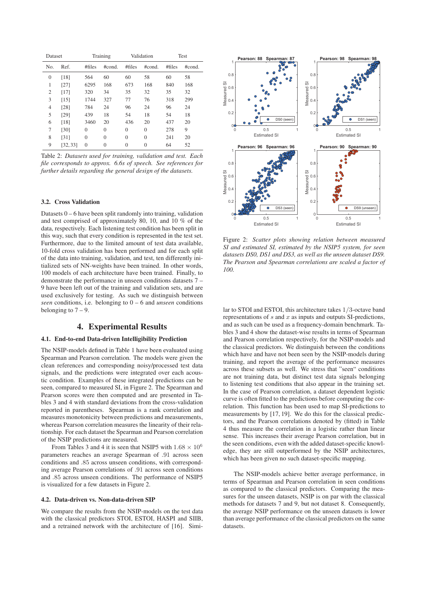| Dataset        |          |                | Training       |          | Validation   | Test    |        |  |
|----------------|----------|----------------|----------------|----------|--------------|---------|--------|--|
| No.            | Ref.     | #files         | #cond.         | # files  | #cond.       | # files | #cond. |  |
| $\mathbf{0}$   | [18]     | 564            | 60             | 60       | 58           | 60      | 58     |  |
| 1              | [27]     | 6295           | 168            | 673      | 168          | 840     | 168    |  |
| $\overline{2}$ | [17]     | 320            | 34             | 35       | 32           | 35      | 32     |  |
| 3              | [15]     | 1744           | 327            | 77       | 76           | 318     | 299    |  |
| 4              | [28]     | 784            | 24             | 96       | 24           | 96      | 24     |  |
| 5              | [29]     | 439            | 18             | 54       | 18           | 54      | 18     |  |
| 6              | [18]     | 3460           | 20             | 436      | 20           | 437     | 20     |  |
| 7              | [30]     | $\theta$       | $\theta$       | $\theta$ | $\mathbf{0}$ | 278     | 9      |  |
| 8              | [31]     | $\mathbf{0}$   | $\theta$       | $\theta$ | $\mathbf{0}$ | 241     | 20     |  |
| 9              | [32, 33] | $\overline{0}$ | $\overline{0}$ | $\theta$ | 0            | 64      | 52     |  |

Table 2: *Datasets used for training, validation and test. Each file corresponds to approx. 6.6s of speech. See references for further details regarding the general design of the datasets.*

#### 3.2. Cross Validation

Datasets  $0 - 6$  have been split randomly into training, validation and test comprised of approximately 80, 10, and 10 % of the data, respectively. Each listening test condition has been split in this way, such that every condition is represented in the test set. Furthermore, due to the limited amount of test data available, 10-fold cross validation has been performed and for each split of the data into training, validation, and test, ten differently initialized sets of NN-weights have been trained. In other words, 100 models of each architecture have been trained. Finally, to demonstrate the performance in unseen conditions datasets 7 – 9 have been left out of the training and validation sets, and are used exclusively for testing. As such we distinguish between *seen* conditions, i.e. belonging to 0 – 6 and *unseen* conditions belonging to  $7 - 9$ .

## 4. Experimental Results

## 4.1. End-to-end Data-driven Intelligibility Prediction

The NSIP-models defined in Table 1 have been evaluated using Spearman and Pearson correlation. The models were given the clean references and corresponding noisy/processed test data signals, and the predictions were integrated over each acoustic condition. Examples of these integrated predictions can be seen, compared to measured SI, in Figure 2. The Spearman and Pearson scores were then computed and are presented in Tables 3 and 4 with standard deviations from the cross-validation reported in parentheses. Spearman is a rank correlation and measures monotonicity between predictions and measurements, whereas Pearson correlation measures the linearity of their relationship. For each dataset the Spearman and Pearson correlation of the NSIP predictions are measured.

From Tables 3 and 4 it is seen that NSIP5 with  $1.68 \times 10^6$ parameters reaches an average Spearman of .91 across seen conditions and .85 across unseen conditions, with corresponding average Pearson correlations of .91 across seen conditions and .85 across unseen conditions. The performance of NSIP5 is visualized for a few datasets in Figure 2.

#### 4.2. Data-driven vs. Non-data-driven SIP

We compare the results from the NSIP-models on the test data with the classical predictors STOI, ESTOI, HASPI and SIIB, and a retrained network with the architecture of [16]. Simi-



Figure 2: *Scatter plots showing relation between measured SI and estimated SI, estimated by the NSIP5 system, for seen datasets DS0, DS1 and DS3, as well as the unseen dataset DS9. The Pearson and Spearman correlations are scaled a factor of 100.*

lar to STOI and ESTOI, this architecture takes 1/3-octave band representations of  $s$  and  $x$  as inputs and outputs SI-predictions, and as such can be used as a frequency-domain benchmark. Tables 3 and 4 show the dataset-wise results in terms of Spearman and Pearson correlation respectively, for the NSIP-models and the classical predictors. We distinguish between the conditions which have and have not been seen by the NSIP-models during training, and report the average of the performance measures across these subsets as well. We stress that "seen" conditions are not training data, but distinct test data signals belonging to listening test conditions that also appear in the training set. In the case of Pearson correlation, a dataset dependent logistic curve is often fitted to the predictions before computing the correlation. This function has been used to map SI-predictions to measurements by [17, 19]. We do this for the classical predictors, and the Pearson correlations denoted by (fitted) in Table 4 thus measure the correlation in a logistic rather than linear sense. This increases their average Pearson correlation, but in the seen conditions, even with the added dataset-specific knowledge, they are still outperformed by the NSIP architectures, which has been given no such dataset-specific mapping.

The NSIP-models achieve better average performance, in terms of Spearman and Pearson correlation in seen conditions as compared to the classical predictors. Comparing the measures for the unseen datasets, NSIP is on par with the classical methods for datasets 7 and 9, but not dataset 8. Consequently, the average NSIP performance on the unseen datasets is lower than average performance of the classical predictors on the same datasets.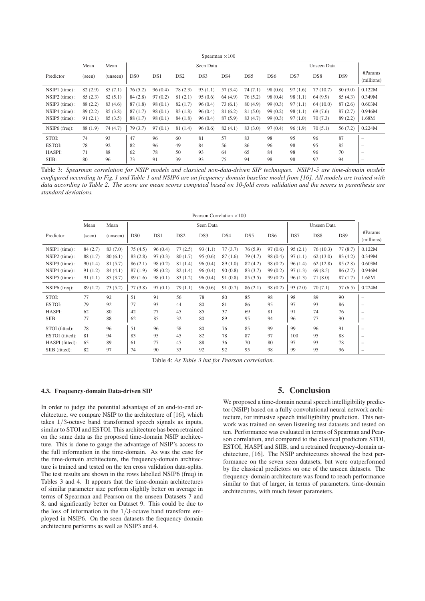|                 | Spearman $\times 100$ |          |                 |           |                 |         |         |         |                 |         |                 |                 |                          |  |
|-----------------|-----------------------|----------|-----------------|-----------|-----------------|---------|---------|---------|-----------------|---------|-----------------|-----------------|--------------------------|--|
|                 | Mean                  | Mean     |                 | Seen Data |                 |         |         |         |                 |         |                 | Unseen Data     |                          |  |
| Predictor       | (seen)                | (unseen) | D <sub>S0</sub> | DS1       | DS <sub>2</sub> | DS3     | DS4     | DS5     | DS <sub>6</sub> | DS7     | DS <sub>8</sub> | DS <sub>9</sub> | #Params<br>(millions)    |  |
| $NSIP1$ (time): | 82(2.9)               | 85(7.1)  | 76(5.2)         | 96(0.4)   | 78 (2.3)        | 93(1.1) | 57(3.4) | 74(7.1) | 98 (0.6)        | 97(1.6) | 77(10.7)        | 80(9.0)         | 0.122M                   |  |
| $NSIP2$ (time): | 85(2.3)               | 82(5.1)  | 84(2.8)         | 97(0.2)   | 81(2.1)         | 95(0.6) | 64(4.9) | 76(5.2) | 98(0.4)         | 98(1.1) | 64(9.9)         | 85(4.3)         | 0.349M                   |  |
| $NSIP3$ (time): | 88 (2.2)              | 83 (4.6) | 87(1.8)         | 98(0.1)   | 82(1.7)         | 96(0.4) | 73(6.1) | 80(4.9) | 99(0.3)         | 97(1.1) | 64(10.0)        | 87(2.6)         | 0.603M                   |  |
| $NSIP4$ (time): | 89(2.2)               | 85(3.8)  | 87(1.7)         | 98(0.1)   | 83(1.8)         | 96(0.4) | 81(6.2) | 81(5.0) | 99(0.2)         | 98(1.1) | 69 (7.6)        | 87(2.7)         | 0.946M                   |  |
| $NSIP5$ (time): | 91(2.1)               | 85(3.5)  | 88(1.7)         | 98(0.1)   | 84(1.8)         | 96(0.4) | 87(5.9) | 83(4.7) | 99(0.3)         | 97(1.0) | 70(7.3)         | 89(2.2)         | 1.68M                    |  |
| $NSIP6$ (freq): | 88 (1.9)              | 74(4.7)  | 79 (3.7)        | 97(0.1)   | 81(1.4)         | 96(0.6) | 82(4.1) | 83(3.0) | 97(0.4)         | 96(1.9) | 70(5.1)         | 56(7.2)         | 0.224M                   |  |
| STOI:           | 74                    | 93       | 47              | 96        | 60              | 81      | 57      | 83      | 98              | 95      | 96              | 87              | $\overline{\phantom{0}}$ |  |
| ESTOI:          | 78                    | 92       | 82              | 96        | 49              | 84      | 56      | 86      | 96              | 98      | 95              | 85              | $\overline{\phantom{0}}$ |  |
| HASPI:          | 71                    | 88       | 62              | 78        | 50              | 93      | 64      | 65      | 84              | 98      | 96              | 70              | $\overline{\phantom{0}}$ |  |
| SIIB:           | 80                    | 96       | 73              | 91        | 39              | 93      | 75      | 94      | 98              | 98      | 97              | 94              | $\overline{\phantom{0}}$ |  |

Table 3: *Spearman correlation for NSIP models and classical non-data-driven SIP techniques. NSIP1-5 are time-domain models configured according to Fig. 1 and Table 1 and NSIP6 are an frequency-domain baseline model from [16]. All models are trained with data according to Table 2. The score are mean scores computed based on 10-fold cross validation and the scores in parenthesis are standard deviations.*

|                 | Pearson Correlation $\times 100$ |          |                 |           |                 |         |         |          |                 |             |          |                 |                          |
|-----------------|----------------------------------|----------|-----------------|-----------|-----------------|---------|---------|----------|-----------------|-------------|----------|-----------------|--------------------------|
|                 | Mean                             | Mean     |                 | Seen Data |                 |         |         |          |                 | Unseen Data |          |                 |                          |
| Predictor       | (seen)                           | (unseen) | DS <sub>0</sub> | DS1       | DS <sub>2</sub> | DS3     | DS4     | DS5      | DS <sub>6</sub> | DS7         | DS8      | DS <sub>9</sub> | #params<br>(millions)    |
| $NSIP1$ (time): | 84(2.7)                          | 83 (7.0) | 75(4.5)         | 96(0.4)   | 77(2.5)         | 93(1.1) | 77(3.7) | 76(5.9)  | 97(0.6)         | 95(2.1)     | 76(10.3) | 77(8.7)         | 0.122M                   |
| $NSIP2$ (time): | 88(1.7)                          | 80(6.1)  | 83(2.8)         | 97(0.3)   | 80(1.7)         | 95(0.6) | 87(1.6) | 79 (4.7) | 98(0.4)         | 97(1.1)     | 62(13.0) | 83(4.2)         | 0.349M                   |
| $NSIP3$ (time): | 90(1.4)                          | 81 (5.7) | 86(2.1)         | 98 (0.2)  | 81 (1.4)        | 96(0.4) | 89(1.0) | 82(4.2)  | 98 (0.2)        | 96(1.4)     | 62(12.8) | 85(2.8)         | 0.603M                   |
| $NSIP4$ (time): | 91(1.2)                          | 84(4.1)  | 87(1.9)         | 98(0.2)   | 82(1.4)         | 96(0.4) | 90(0.8) | 83(3.7)  | 99(0.2)         | 97(1.3)     | 69(8.5)  | 86(2.7)         | 0.946M                   |
| $NSIP5$ (time): | 91(1.1)                          | 85(3.7)  | 89(1.6)         | 98(0.1)   | 83 (1.2)        | 96(0.4) | 91(0.8) | 85(3.5)  | 99(0.2)         | 96(1.3)     | 71(8.0)  | 87(1.7)         | 1.68M                    |
| $NSIP6$ (freq): | 89(1.2)                          | 73(5.2)  | 77(3.8)         | 97(0.1)   | 79(1.1)         | 96(0.6) | 91(0.7) | 86(2.1)  | 98(0.2)         | 93(2.0)     | 70(7.1)  | 57(6.5)         | 0.224M                   |
| STOI:           | 77                               | 92       | 51              | 91        | 56              | 78      | 80      | 85       | 98              | 98          | 89       | 90              | $\overline{\phantom{m}}$ |
| ESTOI:          | 79                               | 92       | 77              | 93        | 44              | 80      | 81      | 86       | 95              | 97          | 93       | 86              | $\overline{\phantom{m}}$ |
| HASPI:          | 62                               | 80       | 42              | 77        | 45              | 85      | 37      | 69       | 81              | 91          | 74       | 76              | $\qquad \qquad -$        |
| SIIB:           | 77                               | 88       | 62              | 85        | 32              | 80      | 89      | 95       | 94              | 96          | 77       | 90              | $\qquad \qquad -$        |
| STOI (fitted):  | 78                               | 96       | 51              | 96        | 58              | 80      | 76      | 85       | 99              | 99          | 96       | 91              | $\qquad \qquad -$        |
| ESTOI (fitted): | 81                               | 94       | 83              | 95        | 45              | 82      | 78      | 87       | 97              | 100         | 95       | 88              | $\qquad \qquad -$        |
| HASPI (fitted): | 65                               | 89       | 61              | 77        | 45              | 88      | 36      | 70       | 80              | 97          | 93       | 78              | $\qquad \qquad -$        |
| SIIB (fitted):  | 82                               | 97       | 74              | 90        | 33              | 92      | 92      | 95       | 98              | 99          | 95       | 96              | $\qquad \qquad -$        |

Table 4: *As Table 3 but for Pearson correlation.*

#### 4.3. Frequency-domain Data-driven SIP

In order to judge the potential advantage of an end-to-end architecture, we compare NSIP to the architecture of [16], which takes 1/3-octave band transformed speech signals as inputs, similar to STOI and ESTOI. This architecture has been retrained on the same data as the proposed time-domain NSIP architecture. This is done to gauge the advantage of NSIP's access to the full information in the time-domain. As was the case for the time-domain architecture, the frequency-domain architecture is trained and tested on the ten cross validation data-splits. The test results are shown in the rows labelled NSIP6 (freq) in Tables 3 and 4. It appears that the time-domain architectures of similar parameter size perform slightly better on average in terms of Spearman and Pearson on the unseen Datasets 7 and 8, and significantly better on Dataset 9. This could be due to the loss of information in the 1/3-octave band transform employed in NSIP6. On the seen datasets the frequency-domain architecture performs as well as NSIP3 and 4.

## 5. Conclusion

We proposed a time-domain neural speech intelligibility predictor (NSIP) based on a fully convolutional neural network architecture, for intrusive speech intelligibility prediction. This network was trained on seven listening test datasets and tested on ten. Performance was evaluated in terms of Spearman and Pearson correlation, and compared to the classical predictors STOI, ESTOI, HASPI and SIIB, and a retrained frequency-domain architecture, [16]. The NSIP architectures showed the best performance on the seven seen datasets, but were outperformed by the classical predictors on one of the unseen datasets. The frequency-domain architecture was found to reach performance similar to that of larger, in terms of parameters, time-domain architectures, with much fewer parameters.